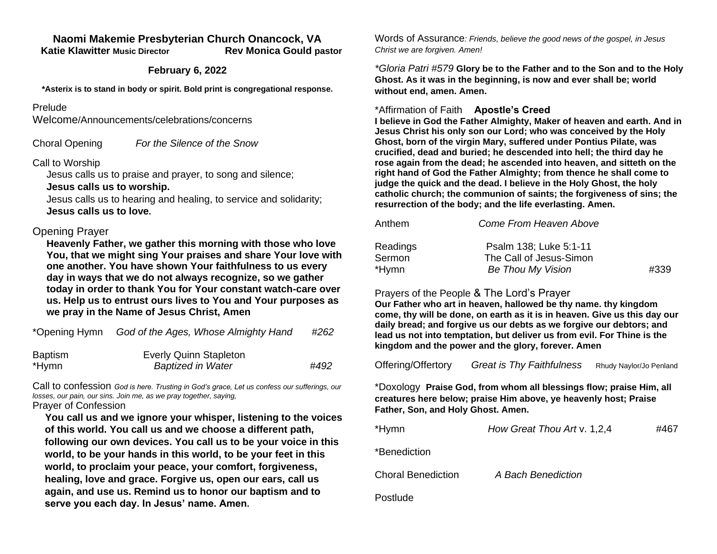### **Naomi Makemie Presbyterian Church Onancock, VA Katie Klawitter Music Director Rev Monica Gould pastor**

### **February 6, 2022**

**\*Asterix is to stand in body or spirit. Bold print is congregational response.**

#### Prelude

Welcome/Announcements/celebrations/concerns

Choral Opening *For the Silence of the Snow*

### Call to Worship

Jesus calls us to praise and prayer, to song and silence;

### **Jesus calls us to worship.**

 Jesus calls us to hearing and healing, to service and solidarity;  **Jesus calls us to love.**

# Opening Prayer

 **Heavenly Father, we gather this morning with those who love You, that we might sing Your praises and share Your love with one another. You have shown Your faithfulness to us every day in ways that we do not always recognize, so we gather today in order to thank You for Your constant watch-care over us. Help us to entrust ours lives to You and Your purposes as we pray in the Name of Jesus Christ, Amen**

| *Opening Hymn           | God of the Ages, Whose Almighty Hand                      | #262 |
|-------------------------|-----------------------------------------------------------|------|
| <b>Baptism</b><br>*Hymn | <b>Everly Quinn Stapleton</b><br><b>Baptized in Water</b> | #492 |

Call to confession *God is here. Trusting in God's grace, Let us confess our sufferings, our losses, our pain, our sins. Join me, as we pray together, saying,*

Prayer of Confession

 **You call us and we ignore your whisper, listening to the voices of this world. You call us and we choose a different path, following our own devices. You call us to be your voice in this world, to be your hands in this world, to be your feet in this world, to proclaim your peace, your comfort, forgiveness, healing, love and grace. Forgive us, open our ears, call us again, and use us. Remind us to honor our baptism and to serve you each day. In Jesus' name. Amen.**

Words of Assurance*: Friends, believe the good news of the gospel, in Jesus Christ we are forgiven. Amen!*

*\*Gloria Patri #579* **Glory be to the Father and to the Son and to the Holy Ghost. As it was in the beginning, is now and ever shall be; world without end, amen. Amen.** 

#### \*Affirmation of Faith **Apostle's Creed**

**I believe in God the Father Almighty, Maker of heaven and earth. And in Jesus Christ his only son our Lord; who was conceived by the Holy Ghost, born of the virgin Mary, suffered under Pontius Pilate, was crucified, dead and buried; he descended into hell; the third day he rose again from the dead; he ascended into heaven, and sitteth on the right hand of God the Father Almighty; from thence he shall come to judge the quick and the dead. I believe in the Holy Ghost, the holy catholic church; the communion of saints; the forgiveness of sins; the resurrection of the body; and the life everlasting. Amen.**

| Anthem             | Come From Heaven Above                            |      |
|--------------------|---------------------------------------------------|------|
| Readings<br>Sermon | Psalm 138; Luke 5:1-11<br>The Call of Jesus-Simon |      |
|                    |                                                   |      |
| *Hymn              | <b>Be Thou My Vision</b>                          | #339 |

# Prayers of the People & The Lord's Prayer

**Our Father who art in heaven, hallowed be thy name. thy kingdom come, thy will be done, on earth as it is in heaven. Give us this day our daily bread; and forgive us our debts as we forgive our debtors; and lead us not into temptation, but deliver us from evil. For Thine is the kingdom and the power and the glory, forever. Amen**

| Offering/Offertory | <b>Great is Thy Faithfulness</b> | Rhudy Naylor/Jo Penland |
|--------------------|----------------------------------|-------------------------|
|--------------------|----------------------------------|-------------------------|

\*Doxology **Praise God, from whom all blessings flow; praise Him, all creatures here below; praise Him above, ye heavenly host; Praise Father, Son, and Holy Ghost. Amen.**

| *Hymn        | How Great Thou Art v. 1,2,4 | #467 |
|--------------|-----------------------------|------|
| *Benediction |                             |      |

Choral Benediction *A Bach Benediction*

Postlude